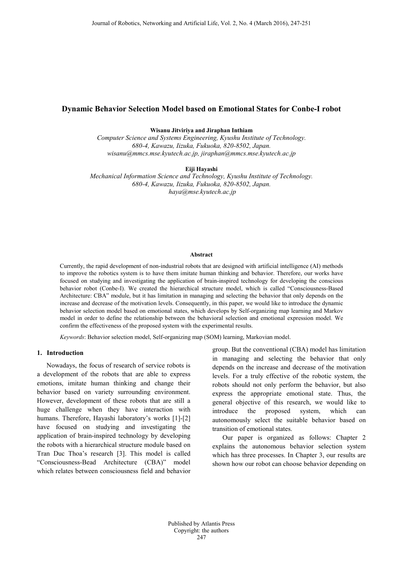# **Dynamic Behavior Selection Model based on Emotional States for Conbe-I robot**

**Wisanu Jitviriya and Jiraphan Inthiam**

*Computer Science and Systems Engineering, Kyushu Institute of Technology. 680-4, Kawazu, Iizuka, Fukuoka, 820-8502, Japan. wisanu@mmcs.mse.kyutech.ac.jp, jiraphan@mmcs.mse.kyutech.ac.jp*

**Eiji Hayashi**

*Mechanical Information Science and Technology, Kyushu Institute of Technology. 680-4, Kawazu, Iizuka, Fukuoka, 820-8502, Japan. haya@mse.kyutech.ac.jp*

### **Abstract**

Currently, the rapid development of non-industrial robots that are designed with artificial intelligence (AI) methods to improve the robotics system is to have them imitate human thinking and behavior. Therefore, our works have focused on studying and investigating the application of brain-inspired technology for developing the conscious behavior robot (Conbe-I). We created the hierarchical structure model, which is called "Consciousness-Based Architecture: CBA" module, but it has limitation in managing and selecting the behavior that only depends on the increase and decrease of the motivation levels. Consequently, in this paper, we would like to introduce the dynamic behavior selection model based on emotional states, which develops by Self-organizing map learning and Markov model in order to define the relationship between the behavioral selection and emotional expression model. We confirm the effectiveness of the proposed system with the experimental results.

*Keywords*: Behavior selection model, Self-organizing map (SOM) learning, Markovian model.

## **1. Introduction**

Nowadays, the focus of research of service robots is a development of the robots that are able to express emotions, imitate human thinking and change their behavior based on variety surrounding environment. However, development of these robots that are still a huge challenge when they have interaction with humans. Therefore, Hayashi laboratory's works [1]-[2] have focused on studying and investigating the application of brain-inspired technology by developing the robots with a hierarchical structure module based on Tran Duc Thoa's research [3]. This model is called "Consciousness-Bead Architecture (CBA)" model which relates between consciousness field and behavior

group. But the conventional (CBA) model has limitation in managing and selecting the behavior that only depends on the increase and decrease of the motivation levels. For a truly effective of the robotic system, the robots should not only perform the behavior, but also express the appropriate emotional state. Thus, the general objective of this research, we would like to introduce the proposed system, which can autonomously select the suitable behavior based on transition of emotional states.

Our paper is organized as follows: Chapter 2 explains the autonomous behavior selection system which has three processes. In Chapter 3, our results are shown how our robot can choose behavior depending on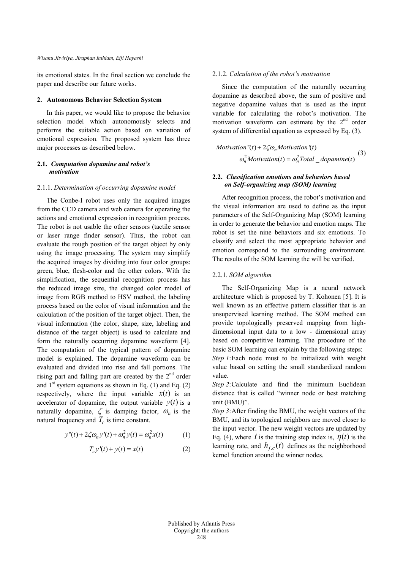its emotional states. In the final section we conclude the paper and describe our future works.

### **2. Autonomous Behavior Selection System**

In this paper, we would like to propose the behavior selection model which autonomously selects and performs the suitable action based on variation of emotional expression. The proposed system has three major processes as described below.

# **2.1.** *Computation dopamine and robot's motivation*

#### 2.1.1. *Determination of occurring dopamine model*

The Conbe-I robot uses only the acquired images from the CCD camera and web camera for operating the actions and emotional expression in recognition process. The robot is not usable the other sensors (tactile sensor or laser range finder sensor). Thus, the robot can evaluate the rough position of the target object by only using the image processing. The system may simplify the acquired images by dividing into four color groups: green, blue, flesh-color and the other colors. With the simplification, the sequential recognition process has the reduced image size, the changed color model of image from RGB method to HSV method, the labeling process based on the color of visual information and the calculation of the position of the target object. Then, the visual information (the color, shape, size, labeling and distance of the target object) is used to calculate and form the naturally occurring dopamine waveform [4]. The computation of the typical pattern of dopamine model is explained. The dopamine waveform can be evaluated and divided into rise and fall portions. The rising part and falling part are created by the  $2<sup>nd</sup>$  order and  $1<sup>st</sup>$  system equations as shown in Eq. (1) and Eq. (2) respectively, where the input variable  $x(t)$  is an accelerator of dopamine, the output variable  $y(t)$  is a naturally dopamine,  $\zeta$  is damping factor,  $\omega_n$  is the natural frequency and  $T_c$  is time constant.

$$
y''(t) + 2\zeta \omega_n y'(t) + \omega_n^2 y(t) = \omega_n^2 x(t)
$$
 (1)

$$
T_c y'(t) + y(t) = x(t)
$$
\n<sup>(2)</sup>

# 2.1.2. *Calculation of the robot's motivation*

Since the computation of the naturally occurring dopamine as described above, the sum of positive and negative dopamine values that is used as the input variable for calculating the robot's motivation. The motivation waveform can estimate by the  $2<sup>nd</sup>$  order system of differential equation as expressed by Eq. (3).

*Motivation*<sup>*n*</sup>(*t*) + 2
$$
\zeta \omega_n
$$
*Motivation*<sup>*t*</sup>(*t*)  
 $\omega_n^2$ *Motivation*(*t*) =  $\omega_n^2$ *Total\_ddomaine*(*t*)<sup>(3)</sup>

# **2.2.** *Classification emotions and behaviors based on Self-organizing map (SOM) learning*

After recognition process, the robot's motivation and the visual information are used to define as the input parameters of the Self-Organizing Map (SOM) learning in order to generate the behavior and emotion maps. The robot is set the nine behaviors and six emotions. To classify and select the most appropriate behavior and emotion correspond to the surrounding environment. The results of the SOM learning the will be verified.

### 2.2.1. *SOM algorithm*

The Self-Organizing Map is a neural network architecture which is proposed by T. Kohonen [5]. It is well known as an effective pattern classifier that is an unsupervised learning method. The SOM method can provide topologically preserved mapping from highdimensional input data to a low - dimensional array based on competitive learning. The procedure of the basic SOM learning can explain by the following steps:

*Step 1*:Each node must to be initialized with weight value based on setting the small standardized random value.

*Step 2*:Calculate and find the minimum Euclidean distance that is called "winner node or best matching unit (BMU)".

*Step 3*:After finding the BMU, the weight vectors of the BMU, and its topological neighbors are moved closer to the input vector. The new weight vectors are updated by Eq. (4), where *t* is the training step index is,  $\eta(t)$  is the learning rate, and  $h_{i,c}(t)$  defines as the neighborhood kernel function around the winner nodes.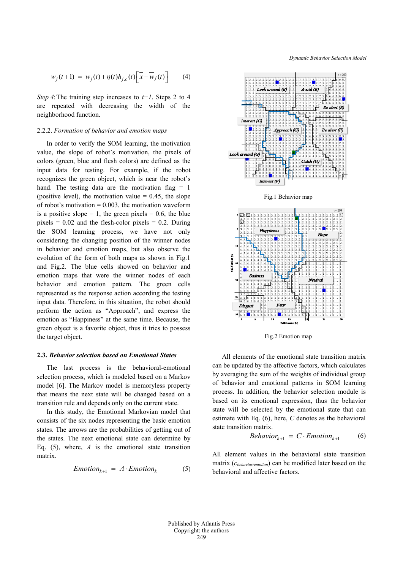$$
w_j(t+1) = w_j(t) + \eta(t)h_{j,c}(t)\left[\overline{x} - \overline{w}_j(t)\right]
$$
 (4)

*Step 4*: The training step increases to  $t+1$ . Steps 2 to 4 are repeated with decreasing the width of the neighborhood function.

#### 2.2.2. *Formation of behavior and emotion maps*

In order to verify the SOM learning, the motivation value, the slope of robot's motivation, the pixels of colors (green, blue and flesh colors) are defined as the input data for testing. For example, if the robot recognizes the green object, which is near the robot's hand. The testing data are the motivation flag  $= 1$ (positive level), the motivation value  $= 0.45$ , the slope of robot's motivation  $= 0.003$ , the motivation waveform is a positive slope = 1, the green pixels = 0.6, the blue pixels  $= 0.02$  and the flesh-color pixels  $= 0.2$ . During the SOM learning process, we have not only considering the changing position of the winner nodes in behavior and emotion maps, but also observe the evolution of the form of both maps as shown in Fig.1 and Fig.2. The blue cells showed on behavior and emotion maps that were the winner nodes of each behavior and emotion pattern. The green cells represented as the response action according the testing input data. Therefore, in this situation, the robot should perform the action as "Approach", and express the emotion as "Happiness" at the same time. Because, the green object is a favorite object, thus it tries to possess the target object.

### **2.3.** *Behavior selection based on Emotional States*

The last process is the behavioral-emotional selection process, which is modeled based on a Markov model [6]. The Markov model is memoryless property that means the next state will be changed based on a transition rule and depends only on the current state.

In this study, the Emotional Markovian model that consists of the six nodes representing the basic emotion states. The arrows are the probabilities of getting out of the states. The next emotional state can determine by Eq. (5), where, *A* is the emotional state transition matrix.

$$
Emotion_{k+1} = A \cdot Emotion_k \tag{5}
$$

*Dynamic Behavior Selection Model*





All elements of the emotional state transition matrix can be updated by the affective factors, which calculates by averaging the sum of the weights of individual group of behavior and emotional patterns in SOM learning process. In addition, the behavior selection module is based on its emotional expression, thus the behavior state will be selected by the emotional state that can estimate with Eq. (6), here, *C* denotes as the behavioral state transition matrix.

$$
Behavior_{k+1} = C \cdot Emotion_{k+1} \tag{6}
$$

All element values in the behavioral state transition matrix (*cbehavior/emotion*) can be modified later based on the behavioral and affective factors.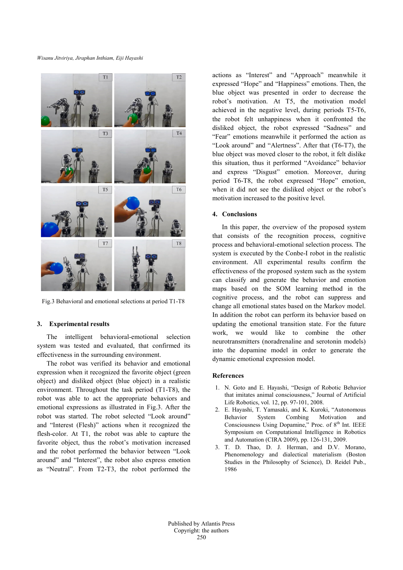*Wisanu Jitviriya, Jiraphan Inthiam, Eiji Hayashi*



Fig.3 Behavioral and emotional selections at period T1-T8

# **3. Experimental results**

The intelligent behavioral-emotional selection system was tested and evaluated, that confirmed its effectiveness in the surrounding environment.

The robot was verified its behavior and emotional expression when it recognized the favorite object (green object) and disliked object (blue object) in a realistic environment. Throughout the task period (T1-T8), the robot was able to act the appropriate behaviors and emotional expressions as illustrated in Fig.3. After the robot was started. The robot selected "Look around" and "Interest (Flesh)" actions when it recognized the flesh-color. At T1, the robot was able to capture the favorite object, thus the robot's motivation increased and the robot performed the behavior between "Look around" and "Interest", the robot also express emotion as "Neutral". From T2-T3, the robot performed the actions as "Interest" and "Approach" meanwhile it expressed "Hope" and "Happiness" emotions. Then, the blue object was presented in order to decrease the robot's motivation. At T5, the motivation model achieved in the negative level, during periods T5-T6, the robot felt unhappiness when it confronted the disliked object, the robot expressed "Sadness" and "Fear" emotions meanwhile it performed the action as "Look around" and "Alertness". After that (T6-T7), the blue object was moved closer to the robot, it felt dislike this situation, thus it performed "Avoidance" behavior and express "Disgust" emotion. Moreover, during period T6-T8, the robot expressed "Hope" emotion, when it did not see the disliked object or the robot's motivation increased to the positive level.

# **4. Conclusions**

In this paper, the overview of the proposed system that consists of the recognition process, cognitive process and behavioral-emotional selection process. The system is executed by the Conbe-I robot in the realistic environment. All experimental results confirm the effectiveness of the proposed system such as the system can classify and generate the behavior and emotion maps based on the SOM learning method in the cognitive process, and the robot can suppress and change all emotional states based on the Markov model. In addition the robot can perform its behavior based on updating the emotional transition state. For the future work, we would like to combine the other neurotransmitters (noradrenaline and serotonin models) into the dopamine model in order to generate the dynamic emotional expression model.

## **References**

- 1. N. Goto and E. Hayashi, "Design of Robotic Behavior that imitates animal consciousness," Journal of Artificial Life Robotics, vol. 12, pp. 97-101, 2008.
- 2. E. Hayashi, T. Yamasaki, and K. Kuroki, "Autonomous Behavior System Combing Motivation and Consciousness Using Dopamine," Proc. of  $8<sup>th</sup>$  Int. IEEE Symposium on Computational Intelligence in Robotics and Automation (CIRA 2009), pp. 126-131, 2009.
- 3. T. D. Thao, D. J. Herman, and D.V. Morano, Phenomenology and dialectical materialism (Boston Studies in the Philosophy of Science), D. Reidel Pub., 1986